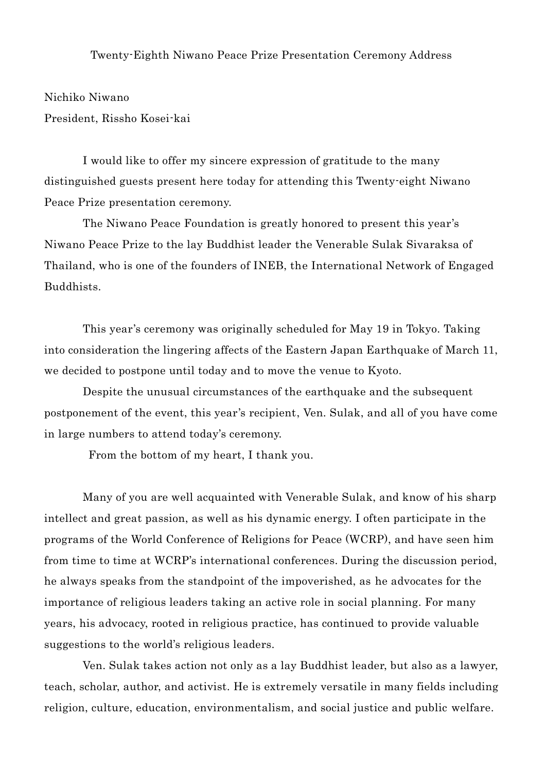## Twenty-Eighth Niwano Peace Prize Presentation Ceremony Address

Nichiko Niwano President, Rissho Kosei-kai

I would like to offer my sincere expression of gratitude to the many distinguished guests present here today for attending this Twenty-eight Niwano Peace Prize presentation ceremony.

The Niwano Peace Foundation is greatly honored to present this year's Niwano Peace Prize to the lay Buddhist leader the Venerable Sulak Sivaraksa of Thailand, who is one of the founders of INEB, the International Network of Engaged Buddhists.

This year's ceremony was originally scheduled for May 19 in Tokyo. Taking into consideration the lingering affects of the Eastern Japan Earthquake of March 11, we decided to postpone until today and to move the venue to Kyoto.

Despite the unusual circumstances of the earthquake and the subsequent postponement of the event, this year's recipient, Ven. Sulak, and all of you have come in large numbers to attend today's ceremony.

From the bottom of my heart, I thank you.

Many of you are well acquainted with Venerable Sulak, and know of his sharp intellect and great passion, as well as his dynamic energy. I often participate in the programs of the World Conference of Religions for Peace (WCRP), and have seen him from time to time at WCRP's international conferences. During the discussion period, he always speaks from the standpoint of the impoverished, as he advocates for the importance of religious leaders taking an active role in social planning. For many years, his advocacy, rooted in religious practice, has continued to provide valuable suggestions to the world's religious leaders.

Ven. Sulak takes action not only as a lay Buddhist leader, but also as a lawyer, teach, scholar, author, and activist. He is extremely versatile in many fields including religion, culture, education, environmentalism, and social justice and public welfare.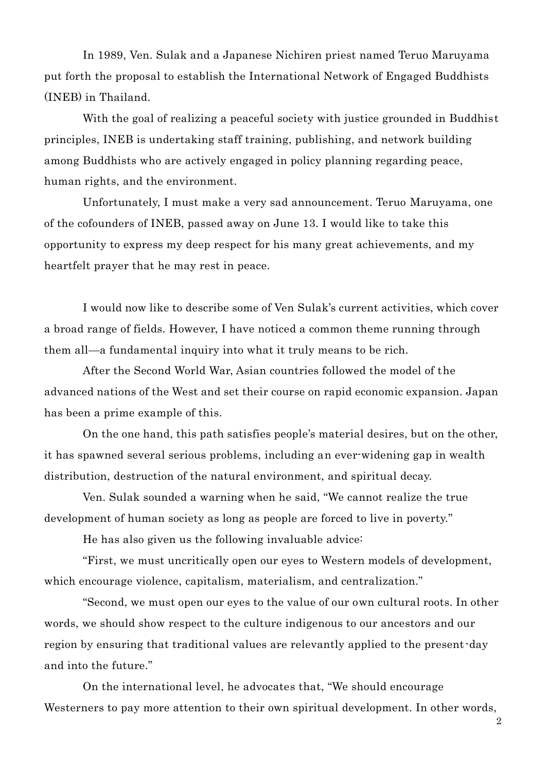In 1989, Ven. Sulak and a Japanese Nichiren priest named Teruo Maruyama put forth the proposal to establish the International Network of Engaged Buddhists (INEB) in Thailand.

With the goal of realizing a peaceful society with justice grounded in Buddhist principles, INEB is undertaking staff training, publishing, and network building among Buddhists who are actively engaged in policy planning regarding peace, human rights, and the environment.

Unfortunately, I must make a very sad announcement. Teruo Maruyama, one of the cofounders of INEB, passed away on June 13. I would like to take this opportunity to express my deep respect for his many great achievements, and my heartfelt prayer that he may rest in peace.

I would now like to describe some of Ven Sulak's current activities, which cover a broad range of fields. However, I have noticed a common theme running through them all—a fundamental inquiry into what it truly means to be rich.

After the Second World War, Asian countries followed the model of the advanced nations of the West and set their course on rapid economic expansion. Japan has been a prime example of this.

On the one hand, this path satisfies people's material desires, but on the other, it has spawned several serious problems, including an ever-widening gap in wealth distribution, destruction of the natural environment, and spiritual decay.

Ven. Sulak sounded a warning when he said, "We cannot realize the true development of human society as long as people are forced to live in poverty."

He has also given us the following invaluable advice:

"First, we must uncritically open our eyes to Western models of development, which encourage violence, capitalism, materialism, and centralization."

"Second, we must open our eyes to the value of our own cultural roots. In other words, we should show respect to the culture indigenous to our ancestors and our region by ensuring that traditional values are relevantly applied to the present-day and into the future."

On the international level, he advocates that, "We should encourage Westerners to pay more attention to their own spiritual development. In other words,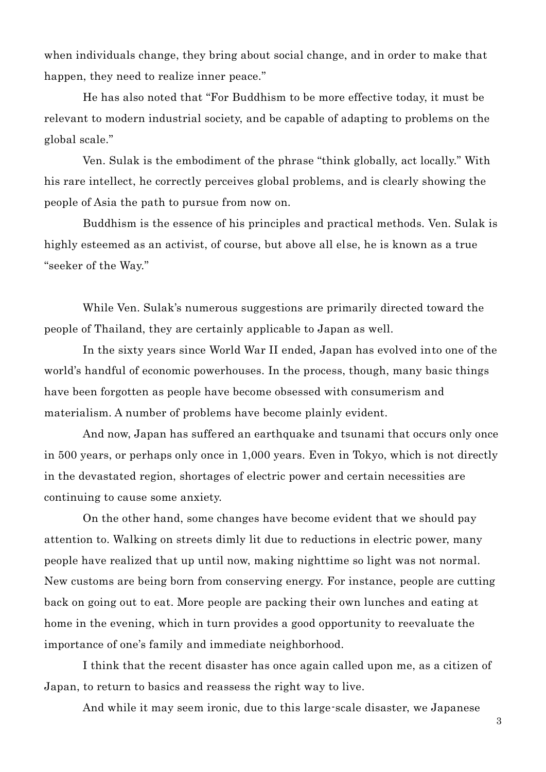when individuals change, they bring about social change, and in order to make that happen, they need to realize inner peace."

He has also noted that "For Buddhism to be more effective today, it must be relevant to modern industrial society, and be capable of adapting to problems on the global scale."

Ven. Sulak is the embodiment of the phrase "think globally, act locally." With his rare intellect, he correctly perceives global problems, and is clearly showing the people of Asia the path to pursue from now on.

Buddhism is the essence of his principles and practical methods. Ven. Sulak is highly esteemed as an activist, of course, but above all else, he is known as a true "seeker of the Way."

While Ven. Sulak's numerous suggestions are primarily directed toward the people of Thailand, they are certainly applicable to Japan as well.

In the sixty years since World War II ended, Japan has evolved into one of the world's handful of economic powerhouses. In the process, though, many basic things have been forgotten as people have become obsessed with consumerism and materialism. A number of problems have become plainly evident.

And now, Japan has suffered an earthquake and tsunami that occurs only once in 500 years, or perhaps only once in 1,000 years. Even in Tokyo, which is not directly in the devastated region, shortages of electric power and certain necessities are continuing to cause some anxiety.

On the other hand, some changes have become evident that we should pay attention to. Walking on streets dimly lit due to reductions in electric power, many people have realized that up until now, making nighttime so light was not normal. New customs are being born from conserving energy. For instance, people are cutting back on going out to eat. More people are packing their own lunches and eating at home in the evening, which in turn provides a good opportunity to reevaluate the importance of one's family and immediate neighborhood.

I think that the recent disaster has once again called upon me, as a citizen of Japan, to return to basics and reassess the right way to live.

And while it may seem ironic, due to this large-scale disaster, we Japanese

3